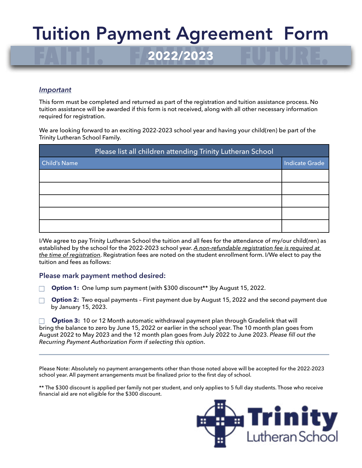## FAITH. FAMILY. FUTURE. **2022/2023** Tuition Payment Agreement Form

#### *Important*

This form must be completed and returned as part of the registration and tuition assistance process. No tuition assistance will be awarded if this form is not received, along with all other necessary information required for registration.

We are looking forward to an exciting 2022-2023 school year and having your child(ren) be part of the Trinity Lutheran School Family.

| Please list all children attending Trinity Lutheran School |                |
|------------------------------------------------------------|----------------|
| <b>Child's Name</b>                                        | Indicate Grade |
|                                                            |                |
|                                                            |                |
|                                                            |                |
|                                                            |                |
|                                                            |                |

I/We agree to pay Trinity Lutheran School the tuition and all fees for the attendance of my/our child(ren) as established by the school for the 2022-2023 school year. *A non-refundable registration fee is required at the time of registration*. Registration fees are noted on the student enrollment form. I/We elect to pay the tuition and fees as follows:

#### **Please mark payment method desired:**

- **Option 1:** One lump sum payment (with \$300 discount\*\* )by August 15, 2022.
- **Option 2:** Two equal payments First payment due by August 15, 2022 and the second payment due by January 15, 2023.

**Option 3:** 10 or 12 Month automatic withdrawal payment plan through Gradelink that will bring the balance to zero by June 15, 2022 or earlier in the school year. The 10 month plan goes from August 2022 to May 2023 and the 12 month plan goes from July 2022 to June 2023. *Please fill out the Recurring Payment Authorization Form if selecting this option*.

Please Note: Absolutely no payment arrangements other than those noted above will be accepted for the 2022-2023 school year. All payment arrangements must be finalized prior to the first day of school.

\*\* The \$300 discount is applied per family not per student, and only applies to 5 full day students. Those who receive financial aid are not eligible for the \$300 discount.